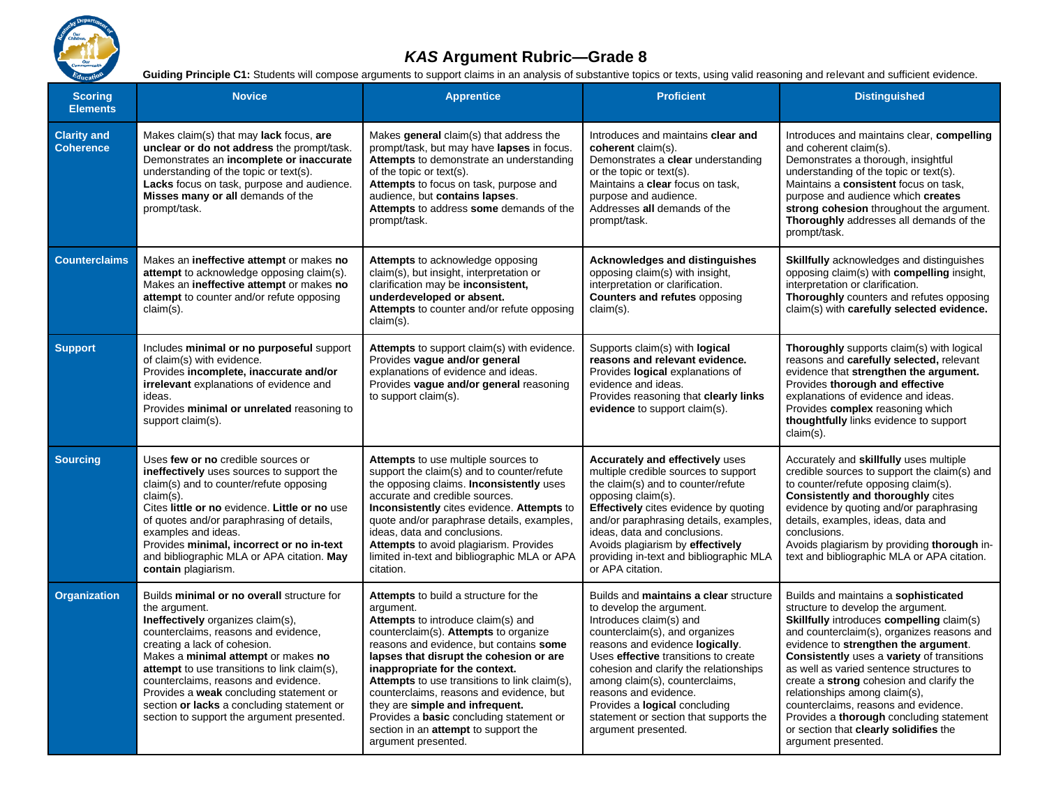

## *KAS* **Argument Rubric—Grade 8**

Guiding Principle C1: Students will compose arguments to support claims in an analysis of substantive topics or texts, using valid reasoning and relevant and sufficient evidence.

| <b>Scoring</b><br><b>Elements</b>      | <b>Novice</b>                                                                                                                                                                                                                                                                                                                                                                                                                                         | <b>Apprentice</b>                                                                                                                                                                                                                                                                                                                                                                                                                                                                                                  | <b>Proficient</b>                                                                                                                                                                                                                                                                                                                                                                                                        | <b>Distinguished</b>                                                                                                                                                                                                                                                                                                                                                                                                                                                                                                                                           |
|----------------------------------------|-------------------------------------------------------------------------------------------------------------------------------------------------------------------------------------------------------------------------------------------------------------------------------------------------------------------------------------------------------------------------------------------------------------------------------------------------------|--------------------------------------------------------------------------------------------------------------------------------------------------------------------------------------------------------------------------------------------------------------------------------------------------------------------------------------------------------------------------------------------------------------------------------------------------------------------------------------------------------------------|--------------------------------------------------------------------------------------------------------------------------------------------------------------------------------------------------------------------------------------------------------------------------------------------------------------------------------------------------------------------------------------------------------------------------|----------------------------------------------------------------------------------------------------------------------------------------------------------------------------------------------------------------------------------------------------------------------------------------------------------------------------------------------------------------------------------------------------------------------------------------------------------------------------------------------------------------------------------------------------------------|
| <b>Clarity and</b><br><b>Coherence</b> | Makes claim(s) that may lack focus, are<br>unclear or do not address the prompt/task.<br>Demonstrates an incomplete or inaccurate<br>understanding of the topic or text(s).<br>Lacks focus on task, purpose and audience.<br>Misses many or all demands of the<br>prompt/task.                                                                                                                                                                        | Makes general claim(s) that address the<br>prompt/task, but may have lapses in focus.<br>Attempts to demonstrate an understanding<br>of the topic or text(s).<br>Attempts to focus on task, purpose and<br>audience, but contains lapses.<br>Attempts to address some demands of the<br>prompt/task.                                                                                                                                                                                                               | Introduces and maintains clear and<br>coherent claim(s).<br>Demonstrates a clear understanding<br>or the topic or text(s).<br>Maintains a clear focus on task,<br>purpose and audience.<br>Addresses all demands of the<br>prompt/task.                                                                                                                                                                                  | Introduces and maintains clear, compelling<br>and coherent claim(s).<br>Demonstrates a thorough, insightful<br>understanding of the topic or text(s).<br>Maintains a consistent focus on task,<br>purpose and audience which creates<br>strong cohesion throughout the argument.<br>Thoroughly addresses all demands of the<br>prompt/task.                                                                                                                                                                                                                    |
| <b>Counterclaims</b>                   | Makes an ineffective attempt or makes no<br>attempt to acknowledge opposing claim(s).<br>Makes an ineffective attempt or makes no<br>attempt to counter and/or refute opposing<br>claim(s).                                                                                                                                                                                                                                                           | Attempts to acknowledge opposing<br>claim(s), but insight, interpretation or<br>clarification may be inconsistent,<br>underdeveloped or absent.<br>Attempts to counter and/or refute opposing<br>$claim(s)$ .                                                                                                                                                                                                                                                                                                      | <b>Acknowledges and distinguishes</b><br>opposing claim(s) with insight,<br>interpretation or clarification.<br><b>Counters and refutes opposing</b><br>$claim(s)$ .                                                                                                                                                                                                                                                     | <b>Skillfully</b> acknowledges and distinguishes<br>opposing claim(s) with <b>compelling</b> insight,<br>interpretation or clarification.<br>Thoroughly counters and refutes opposing<br>claim(s) with carefully selected evidence.                                                                                                                                                                                                                                                                                                                            |
| <b>Support</b>                         | Includes minimal or no purposeful support<br>of claim(s) with evidence.<br>Provides incomplete, inaccurate and/or<br>irrelevant explanations of evidence and<br>ideas.<br>Provides minimal or unrelated reasoning to<br>support claim(s).                                                                                                                                                                                                             | Attempts to support claim(s) with evidence.<br>Provides vague and/or general<br>explanations of evidence and ideas.<br>Provides vague and/or general reasoning<br>to support claim(s).                                                                                                                                                                                                                                                                                                                             | Supports claim(s) with logical<br>reasons and relevant evidence.<br>Provides logical explanations of<br>evidence and ideas.<br>Provides reasoning that clearly links<br>evidence to support claim(s).                                                                                                                                                                                                                    | Thoroughly supports claim(s) with logical<br>reasons and carefully selected, relevant<br>evidence that strengthen the argument.<br>Provides thorough and effective<br>explanations of evidence and ideas.<br>Provides complex reasoning which<br>thoughtfully links evidence to support<br>claim(s).                                                                                                                                                                                                                                                           |
| <b>Sourcing</b>                        | Uses few or no credible sources or<br>ineffectively uses sources to support the<br>claim(s) and to counter/refute opposing<br>$claim(s)$ .<br>Cites little or no evidence. Little or no use<br>of quotes and/or paraphrasing of details,<br>examples and ideas.<br>Provides minimal, incorrect or no in-text<br>and bibliographic MLA or APA citation. May<br>contain plagiarism.                                                                     | Attempts to use multiple sources to<br>support the claim(s) and to counter/refute<br>the opposing claims. Inconsistently uses<br>accurate and credible sources.<br>Inconsistently cites evidence. Attempts to<br>quote and/or paraphrase details, examples,<br>ideas, data and conclusions.<br>Attempts to avoid plagiarism. Provides<br>limited in-text and bibliographic MLA or APA<br>citation.                                                                                                                 | <b>Accurately and effectively uses</b><br>multiple credible sources to support<br>the claim(s) and to counter/refute<br>opposing claim(s).<br><b>Effectively</b> cites evidence by quoting<br>and/or paraphrasing details, examples,<br>ideas, data and conclusions.<br>Avoids plagiarism by effectively<br>providing in-text and bibliographic MLA<br>or APA citation.                                                  | Accurately and skillfully uses multiple<br>credible sources to support the claim(s) and<br>to counter/refute opposing claim(s).<br><b>Consistently and thoroughly cites</b><br>evidence by quoting and/or paraphrasing<br>details, examples, ideas, data and<br>conclusions.<br>Avoids plagiarism by providing thorough in-<br>text and bibliographic MLA or APA citation.                                                                                                                                                                                     |
| <b>Organization</b>                    | Builds minimal or no overall structure for<br>the argument.<br>Ineffectively organizes claim(s),<br>counterclaims, reasons and evidence,<br>creating a lack of cohesion.<br>Makes a minimal attempt or makes no<br><b>attempt</b> to use transitions to link claim(s),<br>counterclaims, reasons and evidence.<br>Provides a weak concluding statement or<br>section or lacks a concluding statement or<br>section to support the argument presented. | Attempts to build a structure for the<br>argument.<br><b>Attempts</b> to introduce claim(s) and<br>counterclaim(s). Attempts to organize<br>reasons and evidence, but contains some<br>lapses that disrupt the cohesion or are<br>inappropriate for the context.<br>Attempts to use transitions to link claim(s).<br>counterclaims, reasons and evidence, but<br>they are simple and infrequent.<br>Provides a <b>basic</b> concluding statement or<br>section in an attempt to support the<br>argument presented. | Builds and maintains a clear structure<br>to develop the argument.<br>Introduces claim(s) and<br>counterclaim(s), and organizes<br>reasons and evidence logically.<br>Uses <i>effective</i> transitions to create<br>cohesion and clarify the relationships<br>among claim(s), counterclaims,<br>reasons and evidence.<br>Provides a logical concluding<br>statement or section that supports the<br>argument presented. | Builds and maintains a sophisticated<br>structure to develop the argument.<br><b>Skillfully introduces compelling claim(s)</b><br>and counterclaim(s), organizes reasons and<br>evidence to strengthen the argument.<br><b>Consistently uses a variety of transitions</b><br>as well as varied sentence structures to<br>create a strong cohesion and clarify the<br>relationships among claim(s),<br>counterclaims, reasons and evidence.<br>Provides a <b>thorough</b> concluding statement<br>or section that clearly solidifies the<br>argument presented. |